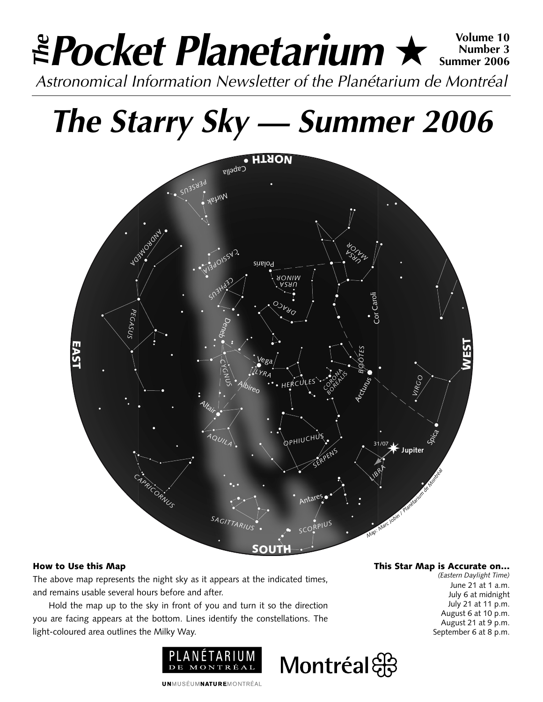# **Pocket Planetarium** ★ **Volume 10** Astronomical Information Newsletter of the Planétarium de Montréal **The Number 3 Summer 2006**

# **The Starry Sky — Summer 2006**



## How to Use this Map

The above map represents the night sky as it appears at the indicated times, and remains usable several hours before and after.

Hold the map up to the sky in front of you and turn it so the direction you are facing appears at the bottom. Lines identify the constellations. The light-coloured area outlines the Milky Way.



This Star Map is Accurate on…

*(Eastern Daylight Time)* June 21 at 1 a.m. July 6 at midnight July 21 at 11 p.m. August 6 at 10 p.m. August 21 at 9 p.m. September 6 at 8 p.m.

**UNMUSÉUMNATUREMONTRÉAL** 

Montréal